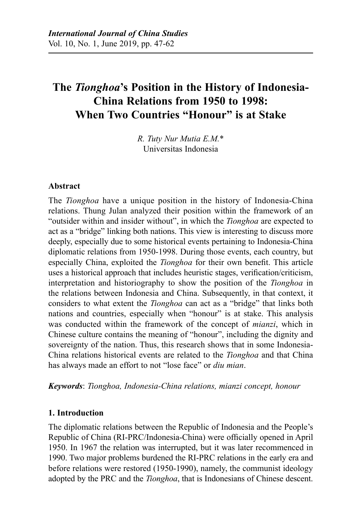# **The** *Tionghoa***'s Position in the History of Indonesia-China Relations from 1950 to 1998: When Two Countries "Honour" is at Stake**

*R. Tuty Nur Mutia E.M.*\* Universitas Indonesia

#### **Abstract**

The *Tionghoa* have a unique position in the history of Indonesia-China relations. Thung Julan analyzed their position within the framework of an "outsider within and insider without", in which the *Tionghoa* are expected to act as a "bridge" linking both nations. This view is interesting to discuss more deeply, especially due to some historical events pertaining to Indonesia-China diplomatic relations from 1950-1998. During those events, each country, but especially China, exploited the *Tionghoa* for their own benefit. This article uses a historical approach that includes heuristic stages, verification/criticism, interpretation and historiography to show the position of the *Tionghoa* in the relations between Indonesia and China. Subsequently, in that context, it considers to what extent the *Tionghoa* can act as a "bridge" that links both nations and countries, especially when "honour" is at stake. This analysis was conducted within the framework of the concept of *mianzi*, which in Chinese culture contains the meaning of "honour", including the dignity and sovereignty of the nation. Thus, this research shows that in some Indonesia-China relations historical events are related to the *Tionghoa* and that China has always made an effort to not "lose face" or *diu mian*.

*Keywords*: *Tionghoa, Indonesia-China relations, mianzi concept, honour*

## **1. Introduction**

The diplomatic relations between the Republic of Indonesia and the People's Republic of China (RI-PRC/Indonesia-China) were officially opened in April 1950. In 1967 the relation was interrupted, but it was later recommenced in 1990. Two major problems burdened the RI-PRC relations in the early era and before relations were restored (1950-1990), namely, the communist ideology adopted by the PRC and the *Tionghoa*, that is Indonesians of Chinese descent.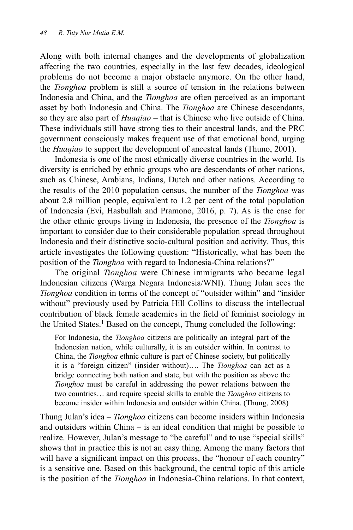Along with both internal changes and the developments of globalization affecting the two countries, especially in the last few decades, ideological problems do not become a major obstacle anymore. On the other hand, the *Tionghoa* problem is still a source of tension in the relations between Indonesia and China, and the *Tionghoa* are often perceived as an important asset by both Indonesia and China. The *Tionghoa* are Chinese descendants, so they are also part of *Huaqiao* – that is Chinese who live outside of China. These individuals still have strong ties to their ancestral lands, and the PRC government consciously makes frequent use of that emotional bond, urging the *Huaqiao* to support the development of ancestral lands (Thuno, 2001).

Indonesia is one of the most ethnically diverse countries in the world. Its diversity is enriched by ethnic groups who are descendants of other nations, such as Chinese, Arabians, Indians, Dutch and other nations. According to the results of the 2010 population census, the number of the *Tionghoa* was about 2.8 million people, equivalent to 1.2 per cent of the total population of Indonesia (Evi, Hasbullah and Pramono, 2016, p. 7). As is the case for the other ethnic groups living in Indonesia, the presence of the *Tionghoa* is important to consider due to their considerable population spread throughout Indonesia and their distinctive socio-cultural position and activity. Thus, this article investigates the following question: "Historically, what has been the position of the *Tionghoa* with regard to Indonesia-China relations?"

The original *Tionghoa* were Chinese immigrants who became legal Indonesian citizens (Warga Negara Indonesia/WNI). Thung Julan sees the *Tionghoa* condition in terms of the concept of "outsider within" and "insider without" previously used by Patricia Hill Collins to discuss the intellectual contribution of black female academics in the field of feminist sociology in the United States.<sup>1</sup> Based on the concept, Thung concluded the following:

For Indonesia, the *Tionghoa* citizens are politically an integral part of the Indonesian nation, while culturally, it is an outsider within. In contrast to China, the *Tionghoa* ethnic culture is part of Chinese society, but politically it is a "foreign citizen" (insider without)…. The *Tionghoa* can act as a bridge connecting both nation and state, but with the position as above the *Tionghoa* must be careful in addressing the power relations between the two countries… and require special skills to enable the *Tionghoa* citizens to become insider within Indonesia and outsider within China. (Thung, 2008)

Thung Julan's idea – *Tionghoa* citizens can become insiders within Indonesia and outsiders within China – is an ideal condition that might be possible to realize. However, Julan's message to "be careful" and to use "special skills" shows that in practice this is not an easy thing. Among the many factors that will have a significant impact on this process, the "honour of each country" is a sensitive one. Based on this background, the central topic of this article is the position of the *Tionghoa* in Indonesia-China relations. In that context,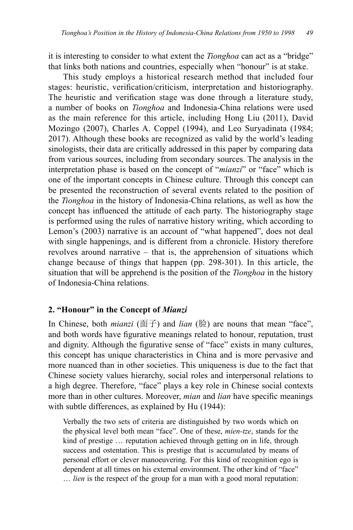it is interesting to consider to what extent the *Tionghoa* can act as a "bridge" that links both nations and countries, especially when "honour" is at stake.

This study employs a historical research method that included four stages: heuristic, verification/criticism, interpretation and historiography. The heuristic and verification stage was done through a literature study, a number of books on *Tionghoa* and Indonesia-China relations were used as the main reference for this article, including Hong Liu (2011), David Mozingo (2007), Charles A. Coppel (1994), and Leo Suryadinata (1984; 2017). Although these books are recognized as valid by the world's leading sinologists, their data are critically addressed in this paper by comparing data from various sources, including from secondary sources. The analysis in the interpretation phase is based on the concept of "*mianzi*" or "face" which is one of the important concepts in Chinese culture. Through this concept can be presented the reconstruction of several events related to the position of the *Tionghoa* in the history of Indonesia-China relations, as well as how the concept has influenced the attitude of each party. The historiography stage is performed using the rules of narrative history writing, which according to Lemon's (2003) narrative is an account of "what happened", does not deal with single happenings, and is different from a chronicle. History therefore revolves around narrative – that is, the apprehension of situations which change because of things that happen (pp. 298-301). In this article, the situation that will be apprehend is the position of the *Tionghoa* in the history of Indonesia-China relations.

#### **2. "Honour" in the Concept of** *Mianzi*

In Chinese, both *mianzi* (面子) and *lian* (脸) are nouns that mean "face", and both words have figurative meanings related to honour, reputation, trust and dignity. Although the figurative sense of "face" exists in many cultures, this concept has unique characteristics in China and is more pervasive and more nuanced than in other societies. This uniqueness is due to the fact that Chinese society values hierarchy, social roles and interpersonal relations to a high degree. Therefore, "face" plays a key role in Chinese social contexts more than in other cultures. Moreover, *mian* and *lian* have specific meanings with subtle differences, as explained by Hu (1944):

Verbally the two sets of criteria are distinguished by two words which on the physical level both mean "face". One of these, *mien-tze*, stands for the kind of prestige … reputation achieved through getting on in life, through success and ostentation. This is prestige that is accumulated by means of personal effort or clever manoeuvering. For this kind of recognition ego is dependent at all times on his external environment. The other kind of "face" … *lien* is the respect of the group for a man with a good moral reputation: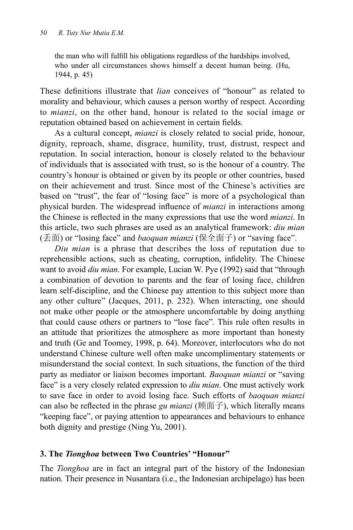the man who will fulfill his obligations regardless of the hardships involved, who under all circumstances shows himself a decent human being. (Hu, 1944, p. 45)

These definitions illustrate that *lian* conceives of "honour" as related to morality and behaviour, which causes a person worthy of respect. According to *mianzi*, on the other hand, honour is related to the social image or reputation obtained based on achievement in certain fields.

As a cultural concept, *mianzi* is closely related to social pride, honour, dignity, reproach, shame, disgrace, humility, trust, distrust, respect and reputation. In social interaction, honour is closely related to the behaviour of individuals that is associated with trust, so is the honour of a country. The country's honour is obtained or given by its people or other countries, based on their achievement and trust. Since most of the Chinese's activities are based on "trust", the fear of "losing face" is more of a psychological than physical burden. The widespread influence of *mianzi* in interactions among the Chinese is reflected in the many expressions that use the word *mianzi*. In this article, two such phrases are used as an analytical framework: *diu mian* (丢面) or "losing face" and *baoquan mianzi* (保全面子) or "saving face".

*Diu mian* is a phrase that describes the loss of reputation due to reprehensible actions, such as cheating, corruption, infidelity. The Chinese want to avoid *diu mian*. For example, Lucian W. Pye (1992) said that "through a combination of devotion to parents and the fear of losing face, children learn self-discipline, and the Chinese pay attention to this subject more than any other culture" (Jacques, 2011, p. 232). When interacting, one should not make other people or the atmosphere uncomfortable by doing anything that could cause others or partners to "lose face". This rule often results in an attitude that prioritizes the atmosphere as more important than honesty and truth (Ge and Toomey, 1998, p. 64). Moreover, interlocutors who do not understand Chinese culture well often make uncomplimentary statements or misunderstand the social context. In such situations, the function of the third party as mediator or liaison becomes important. *Baoquan mianzi* or "saving face" is a very closely related expression to *diu mian*. One must actively work to save face in order to avoid losing face. Such efforts of *baoquan mianzi*  can also be reflected in the phrase *gu mianzi* (顾面子), which literally means "keeping face", or paying attention to appearances and behaviours to enhance both dignity and prestige (Ning Yu, 2001).

# **3. The** *Tionghoa* **between Two Countries' "Honour"**

The *Tionghoa* are in fact an integral part of the history of the Indonesian nation. Their presence in Nusantara (i.e., the Indonesian archipelago) has been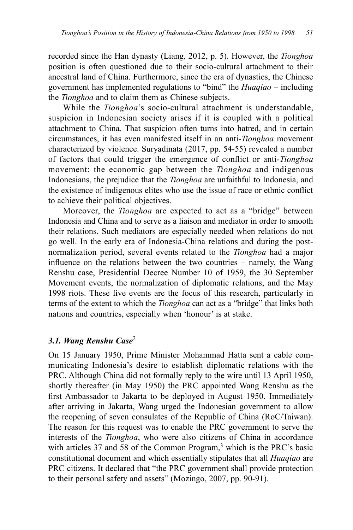recorded since the Han dynasty (Liang, 2012, p. 5). However, the *Tionghoa* position is often questioned due to their socio-cultural attachment to their ancestral land of China. Furthermore, since the era of dynasties, the Chinese government has implemented regulations to "bind" the *Huaqiao* – including the *Tionghoa* and to claim them as Chinese subjects.

While the *Tionghoa*'s socio-cultural attachment is understandable, suspicion in Indonesian society arises if it is coupled with a political attachment to China. That suspicion often turns into hatred, and in certain circumstances, it has even manifested itself in an anti-*Tionghoa* movement characterized by violence. Suryadinata (2017, pp. 54-55) revealed a number of factors that could trigger the emergence of conflict or anti-*Tionghoa* movement: the economic gap between the *Tionghoa* and indigenous Indonesians, the prejudice that the *Tionghoa* are unfaithful to Indonesia, and the existence of indigenous elites who use the issue of race or ethnic conflict to achieve their political objectives.

Moreover, the *Tionghoa* are expected to act as a "bridge" between Indonesia and China and to serve as a liaison and mediator in order to smooth their relations. Such mediators are especially needed when relations do not go well. In the early era of Indonesia-China relations and during the postnormalization period, several events related to the *Tionghoa* had a major influence on the relations between the two countries – namely, the Wang Renshu case, Presidential Decree Number 10 of 1959, the 30 September Movement events, the normalization of diplomatic relations, and the May 1998 riots. These five events are the focus of this research, particularly in terms of the extent to which the *Tionghoa* can act as a "bridge" that links both nations and countries, especially when 'honour' is at stake.

### *3.1. Wang Renshu Case*<sup>2</sup>

On 15 January 1950, Prime Minister Mohammad Hatta sent a cable communicating Indonesia's desire to establish diplomatic relations with the PRC. Although China did not formally reply to the wire until 13 April 1950, shortly thereafter (in May 1950) the PRC appointed Wang Renshu as the first Ambassador to Jakarta to be deployed in August 1950. Immediately after arriving in Jakarta, Wang urged the Indonesian government to allow the reopening of seven consulates of the Republic of China (RoC/Taiwan). The reason for this request was to enable the PRC government to serve the interests of the *Tionghoa*, who were also citizens of China in accordance with articles 37 and 58 of the Common Program,<sup>3</sup> which is the PRC's basic constitutional document and which essentially stipulates that all *Huaqiao* are PRC citizens. It declared that "the PRC government shall provide protection to their personal safety and assets" (Mozingo, 2007, pp. 90-91).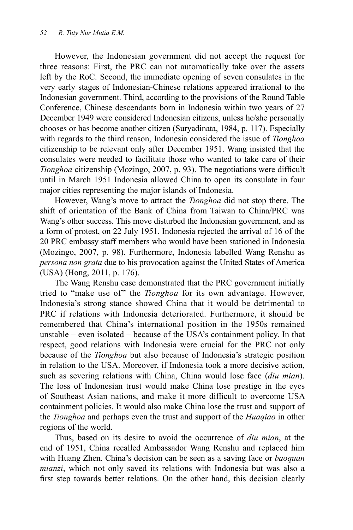However, the Indonesian government did not accept the request for three reasons: First, the PRC can not automatically take over the assets left by the RoC. Second, the immediate opening of seven consulates in the very early stages of Indonesian-Chinese relations appeared irrational to the Indonesian government. Third, according to the provisions of the Round Table Conference, Chinese descendants born in Indonesia within two years of 27 December 1949 were considered Indonesian citizens, unless he/she personally chooses or has become another citizen (Suryadinata, 1984, p. 117). Especially with regards to the third reason, Indonesia considered the issue of *Tionghoa* citizenship to be relevant only after December 1951. Wang insisted that the consulates were needed to facilitate those who wanted to take care of their *Tionghoa* citizenship (Mozingo, 2007, p. 93). The negotiations were difficult until in March 1951 Indonesia allowed China to open its consulate in four major cities representing the major islands of Indonesia.

However, Wang's move to attract the *Tionghoa* did not stop there. The shift of orientation of the Bank of China from Taiwan to China/PRC was Wang's other success. This move disturbed the Indonesian government, and as a form of protest, on 22 July 1951, Indonesia rejected the arrival of 16 of the 20 PRC embassy staff members who would have been stationed in Indonesia (Mozingo, 2007, p. 98). Furthermore, Indonesia labelled Wang Renshu as *persona non grata* due to his provocation against the United States of America (USA) (Hong, 2011, p. 176).

The Wang Renshu case demonstrated that the PRC government initially tried to "make use of" the *Tionghoa* for its own advantage. However, Indonesia's strong stance showed China that it would be detrimental to PRC if relations with Indonesia deteriorated. Furthermore, it should be remembered that China's international position in the 1950s remained unstable – even isolated – because of the USA's containment policy. In that respect, good relations with Indonesia were crucial for the PRC not only because of the *Tionghoa* but also because of Indonesia's strategic position in relation to the USA. Moreover, if Indonesia took a more decisive action, such as severing relations with China, China would lose face (*diu mian*). The loss of Indonesian trust would make China lose prestige in the eyes of Southeast Asian nations, and make it more difficult to overcome USA containment policies. It would also make China lose the trust and support of the *Tionghoa* and perhaps even the trust and support of the *Huaqiao* in other regions of the world.

Thus, based on its desire to avoid the occurrence of *diu mian*, at the end of 1951, China recalled Ambassador Wang Renshu and replaced him with Huang Zhen. China's decision can be seen as a saving face or *baoquan mianzi*, which not only saved its relations with Indonesia but was also a first step towards better relations. On the other hand, this decision clearly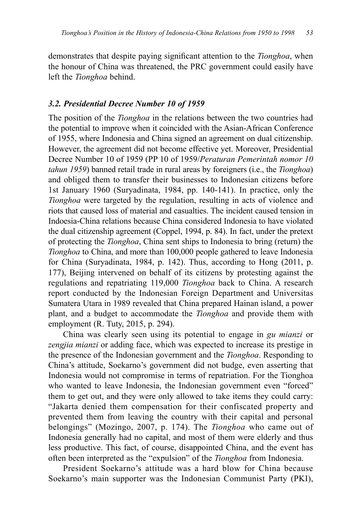demonstrates that despite paying significant attention to the *Tionghoa*, when the honour of China was threatened, the PRC government could easily have left the *Tionghoa* behind.

#### *3.2. Presidential Decree Number 10 of 1959*

The position of the *Tionghoa* in the relations between the two countries had the potential to improve when it coincided with the Asian-African Conference of 1955, where Indonesia and China signed an agreement on dual citizenship. However, the agreement did not become effective yet. Moreover, Presidential Decree Number 10 of 1959 (PP 10 of 1959/*Peraturan Pemerintah nomor 10 tahun 1959*) banned retail trade in rural areas by foreigners (i.e., the *Tionghoa*) and obliged them to transfer their businesses to Indonesian citizens before 1st January 1960 (Suryadinata, 1984, pp. 140-141). In practice, only the *Tionghoa* were targeted by the regulation, resulting in acts of violence and riots that caused loss of material and casualties. The incident caused tension in Indoesia-China relations because China considered Indonesia to have violated the dual citizenship agreement (Coppel, 1994, p. 84). In fact, under the pretext of protecting the *Tionghoa*, China sent ships to Indonesia to bring (return) the *Tionghoa* to China, and more than 100,000 people gathered to leave Indonesia for China (Suryadinata, 1984, p. 142). Thus, according to Hong (2011, p. 177), Beijing intervened on behalf of its citizens by protesting against the regulations and repatriating 119,000 *Tionghoa* back to China. A research report conducted by the Indonesian Foreign Department and Universitas Sumatera Utara in 1989 revealed that China prepared Hainan island, a power plant, and a budget to accommodate the *Tionghoa* and provide them with employment (R. Tuty, 2015, p. 294).

China was clearly seen using its potential to engage in *gu mianzi* or *zengjia mianzi* or adding face, which was expected to increase its prestige in the presence of the Indonesian government and the *Tionghoa*. Responding to China's attitude, Soekarno's government did not budge, even asserting that Indonesia would not compromise in terms of repatriation. For the Tionghoa who wanted to leave Indonesia, the Indonesian government even "forced" them to get out, and they were only allowed to take items they could carry: "Jakarta denied them compensation for their confiscated property and prevented them from leaving the country with their capital and personal belongings" (Mozingo, 2007, p. 174). The *Tionghoa* who came out of Indonesia generally had no capital, and most of them were elderly and thus less productive. This fact, of course, disappointed China, and the event has often been interpreted as the "expulsion" of the *Tionghoa* from Indonesia.

President Soekarno's attitude was a hard blow for China because Soekarno's main supporter was the Indonesian Communist Party (PKI),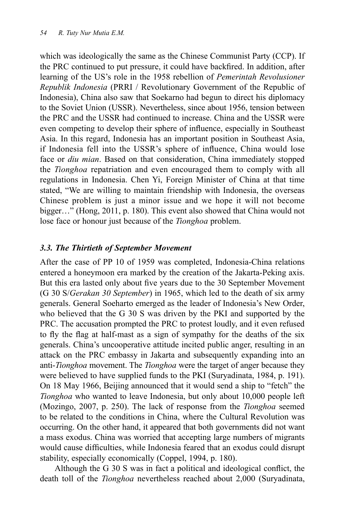which was ideologically the same as the Chinese Communist Party (CCP). If the PRC continued to put pressure, it could have backfired. In addition, after learning of the US's role in the 1958 rebellion of *Pemerintah Revolusioner Republik Indonesia* (PRRI / Revolutionary Government of the Republic of Indonesia), China also saw that Soekarno had begun to direct his diplomacy to the Soviet Union (USSR). Nevertheless, since about 1956, tension between the PRC and the USSR had continued to increase. China and the USSR were even competing to develop their sphere of influence, especially in Southeast Asia. In this regard, Indonesia has an important position in Southeast Asia, if Indonesia fell into the USSR's sphere of influence, China would lose face or *diu mian*. Based on that consideration, China immediately stopped the *Tionghoa* repatriation and even encouraged them to comply with all regulations in Indonesia. Chen Yi, Foreign Minister of China at that time stated, "We are willing to maintain friendship with Indonesia, the overseas Chinese problem is just a minor issue and we hope it will not become bigger…" (Hong, 2011, p. 180). This event also showed that China would not lose face or honour just because of the *Tionghoa* problem.

## *3.3. The Thirtieth of September Movement*

After the case of PP 10 of 1959 was completed, Indonesia-China relations entered a honeymoon era marked by the creation of the Jakarta-Peking axis. But this era lasted only about five years due to the 30 September Movement (G 30 S/*Gerakan 30 September*) in 1965, which led to the death of six army generals. General Soeharto emerged as the leader of Indonesia's New Order, who believed that the G 30 S was driven by the PKI and supported by the PRC. The accusation prompted the PRC to protest loudly, and it even refused to fly the flag at half-mast as a sign of sympathy for the deaths of the six generals. China's uncooperative attitude incited public anger, resulting in an attack on the PRC embassy in Jakarta and subsequently expanding into an anti-*Tionghoa* movement. The *Tionghoa* were the target of anger because they were believed to have supplied funds to the PKI (Suryadinata, 1984, p. 191). On 18 May 1966, Beijing announced that it would send a ship to "fetch" the *Tionghoa* who wanted to leave Indonesia, but only about 10,000 people left (Mozingo, 2007, p. 250). The lack of response from the *Tionghoa* seemed to be related to the conditions in China, where the Cultural Revolution was occurring. On the other hand, it appeared that both governments did not want a mass exodus. China was worried that accepting large numbers of migrants would cause difficulties, while Indonesia feared that an exodus could disrupt stability, especially economically (Coppel, 1994, p. 180).

Although the G 30 S was in fact a political and ideological conflict, the death toll of the *Tionghoa* nevertheless reached about 2,000 (Suryadinata,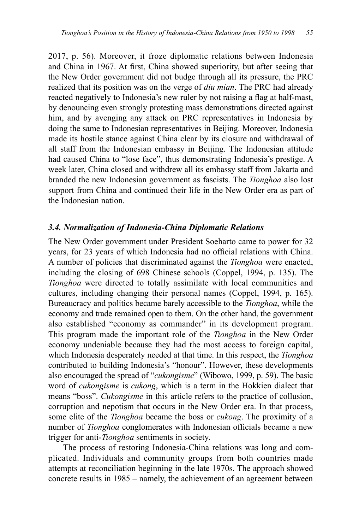2017, p. 56). Moreover, it froze diplomatic relations between Indonesia and China in 1967. At first, China showed superiority, but after seeing that the New Order government did not budge through all its pressure, the PRC realized that its position was on the verge of *diu mian*. The PRC had already reacted negatively to Indonesia's new ruler by not raising a flag at half-mast, by denouncing even strongly protesting mass demonstrations directed against him, and by avenging any attack on PRC representatives in Indonesia by doing the same to Indonesian representatives in Beijing. Moreover, Indonesia made its hostile stance against China clear by its closure and withdrawal of all staff from the Indonesian embassy in Beijing. The Indonesian attitude had caused China to "lose face", thus demonstrating Indonesia's prestige. A week later, China closed and withdrew all its embassy staff from Jakarta and branded the new Indonesian government as fascists. The *Tionghoa* also lost support from China and continued their life in the New Order era as part of the Indonesian nation.

#### *3.4. Normalization of Indonesia-China Diplomatic Relations*

The New Order government under President Soeharto came to power for 32 years, for 23 years of which Indonesia had no official relations with China. A number of policies that discriminated against the *Tionghoa* were enacted, including the closing of 698 Chinese schools (Coppel, 1994, p. 135). The *Tionghoa* were directed to totally assimilate with local communities and cultures, including changing their personal names (Coppel, 1994, p. 165). Bureaucracy and politics became barely accessible to the *Tionghoa*, while the economy and trade remained open to them. On the other hand, the government also established "economy as commander" in its development program. This program made the important role of the *Tionghoa* in the New Order economy undeniable because they had the most access to foreign capital, which Indonesia desperately needed at that time. In this respect, the *Tionghoa* contributed to building Indonesia's "honour". However, these developments also encouraged the spread of "*cukongisme*" (Wibowo, 1999, p. 59). The basic word of *cukongisme* is *cukong*, which is a term in the Hokkien dialect that means "boss". *Cukongisme* in this article refers to the practice of collusion, corruption and nepotism that occurs in the New Order era. In that process, some elite of the *Tionghoa* became the boss or *cukong*. The proximity of a number of *Tionghoa* conglomerates with Indonesian officials became a new trigger for anti-*Tionghoa* sentiments in society.

The process of restoring Indonesia-China relations was long and complicated. Individuals and community groups from both countries made attempts at reconciliation beginning in the late 1970s. The approach showed concrete results in 1985 – namely, the achievement of an agreement between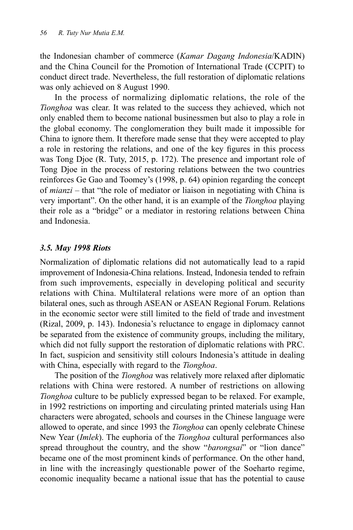the Indonesian chamber of commerce (*Kamar Dagang Indonesia*/KADIN) and the China Council for the Promotion of International Trade (CCPIT) to conduct direct trade. Nevertheless, the full restoration of diplomatic relations was only achieved on 8 August 1990.

In the process of normalizing diplomatic relations, the role of the *Tionghoa* was clear. It was related to the success they achieved, which not only enabled them to become national businessmen but also to play a role in the global economy. The conglomeration they built made it impossible for China to ignore them. It therefore made sense that they were accepted to play a role in restoring the relations, and one of the key figures in this process was Tong Djoe (R. Tuty, 2015, p. 172). The presence and important role of Tong Djoe in the process of restoring relations between the two countries reinforces Ge Gao and Toomey's (1998, p. 64) opinion regarding the concept of *mianzi* – that "the role of mediator or liaison in negotiating with China is very important". On the other hand, it is an example of the *Tionghoa* playing their role as a "bridge" or a mediator in restoring relations between China and Indonesia.

## *3.5. May 1998 Riots*

Normalization of diplomatic relations did not automatically lead to a rapid improvement of Indonesia-China relations. Instead, Indonesia tended to refrain from such improvements, especially in developing political and security relations with China. Multilateral relations were more of an option than bilateral ones, such as through ASEAN or ASEAN Regional Forum. Relations in the economic sector were still limited to the field of trade and investment (Rizal, 2009, p. 143). Indonesia's reluctance to engage in diplomacy cannot be separated from the existence of community groups, including the military, which did not fully support the restoration of diplomatic relations with PRC. In fact, suspicion and sensitivity still colours Indonesia's attitude in dealing with China, especially with regard to the *Tionghoa*.

The position of the *Tionghoa* was relatively more relaxed after diplomatic relations with China were restored. A number of restrictions on allowing *Tionghoa* culture to be publicly expressed began to be relaxed. For example, in 1992 restrictions on importing and circulating printed materials using Han characters were abrogated, schools and courses in the Chinese language were allowed to operate, and since 1993 the *Tionghoa* can openly celebrate Chinese New Year (*Imlek*). The euphoria of the *Tionghoa* cultural performances also spread throughout the country, and the show "*barongsai*" or "lion dance" became one of the most prominent kinds of performance. On the other hand, in line with the increasingly questionable power of the Soeharto regime, economic inequality became a national issue that has the potential to cause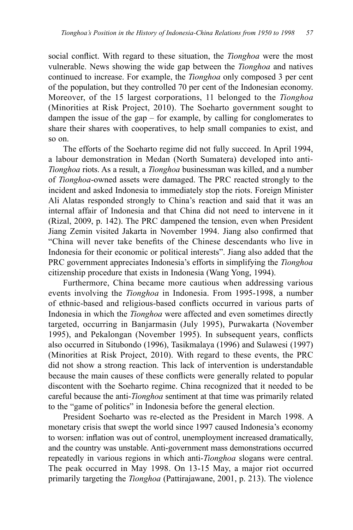social conflict. With regard to these situation, the *Tionghoa* were the most vulnerable. News showing the wide gap between the *Tionghoa* and natives continued to increase. For example, the *Tionghoa* only composed 3 per cent of the population, but they controlled 70 per cent of the Indonesian economy. Moreover, of the 15 largest corporations, 11 belonged to the *Tionghoa* (Minorities at Risk Project, 2010). The Soeharto government sought to dampen the issue of the gap – for example, by calling for conglomerates to share their shares with cooperatives, to help small companies to exist, and so on.

The efforts of the Soeharto regime did not fully succeed. In April 1994, a labour demonstration in Medan (North Sumatera) developed into anti-*Tionghoa* riots. As a result, a *Tionghoa* businessman was killed, and a number of *Tionghoa*-owned assets were damaged. The PRC reacted strongly to the incident and asked Indonesia to immediately stop the riots. Foreign Minister Ali Alatas responded strongly to China's reaction and said that it was an internal affair of Indonesia and that China did not need to intervene in it (Rizal, 2009, p. 142). The PRC dampened the tension, even when President Jiang Zemin visited Jakarta in November 1994. Jiang also confirmed that "China will never take benefits of the Chinese descendants who live in Indonesia for their economic or political interests". Jiang also added that the PRC government appreciates Indonesia's efforts in simplifying the *Tionghoa* citizenship procedure that exists in Indonesia (Wang Yong, 1994).

Furthermore, China became more cautious when addressing various events involving the *Tionghoa* in Indonesia. From 1995-1998, a number of ethnic-based and religious-based conflicts occurred in various parts of Indonesia in which the *Tionghoa* were affected and even sometimes directly targeted, occurring in Banjarmasin (July 1995), Purwakarta (November 1995), and Pekalongan (November 1995). In subsequent years, conflicts also occurred in Situbondo (1996), Tasikmalaya (1996) and Sulawesi (1997) (Minorities at Risk Project, 2010). With regard to these events, the PRC did not show a strong reaction. This lack of intervention is understandable because the main causes of these conflicts were generally related to popular discontent with the Soeharto regime. China recognized that it needed to be careful because the anti-*Tionghoa* sentiment at that time was primarily related to the "game of politics" in Indonesia before the general election.

President Soeharto was re-elected as the President in March 1998. A monetary crisis that swept the world since 1997 caused Indonesia's economy to worsen: inflation was out of control, unemployment increased dramatically, and the country was unstable. Anti-government mass demonstrations occurred repeatedly in various regions in which anti-*Tionghoa* slogans were central. The peak occurred in May 1998. On 13-15 May, a major riot occurred primarily targeting the *Tionghoa* (Pattirajawane, 2001, p. 213). The violence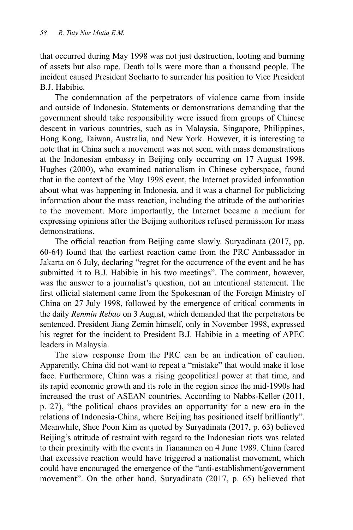that occurred during May 1998 was not just destruction, looting and burning of assets but also rape. Death tolls were more than a thousand people. The incident caused President Soeharto to surrender his position to Vice President B.J. Habibie.

The condemnation of the perpetrators of violence came from inside and outside of Indonesia. Statements or demonstrations demanding that the government should take responsibility were issued from groups of Chinese descent in various countries, such as in Malaysia, Singapore, Philippines, Hong Kong, Taiwan, Australia, and New York. However, it is interesting to note that in China such a movement was not seen, with mass demonstrations at the Indonesian embassy in Beijing only occurring on 17 August 1998. Hughes (2000), who examined nationalism in Chinese cyberspace, found that in the context of the May 1998 event, the Internet provided information about what was happening in Indonesia, and it was a channel for publicizing information about the mass reaction, including the attitude of the authorities to the movement. More importantly, the Internet became a medium for expressing opinions after the Beijing authorities refused permission for mass demonstrations.

The official reaction from Beijing came slowly. Suryadinata (2017, pp. 60-64) found that the earliest reaction came from the PRC Ambassador in Jakarta on 6 July, declaring "regret for the occurrence of the event and he has submitted it to B.J. Habibie in his two meetings". The comment, however, was the answer to a journalist's question, not an intentional statement. The first official statement came from the Spokesman of the Foreign Ministry of China on 27 July 1998, followed by the emergence of critical comments in the daily *Renmin Rebao* on 3 August, which demanded that the perpetrators be sentenced. President Jiang Zemin himself, only in November 1998, expressed his regret for the incident to President B.J. Habibie in a meeting of APEC leaders in Malaysia.

The slow response from the PRC can be an indication of caution. Apparently, China did not want to repeat a "mistake" that would make it lose face. Furthermore, China was a rising geopolitical power at that time, and its rapid economic growth and its role in the region since the mid-1990s had increased the trust of ASEAN countries. According to Nabbs-Keller (2011, p. 27), "the political chaos provides an opportunity for a new era in the relations of Indonesia-China, where Beijing has positioned itself brilliantly". Meanwhile, Shee Poon Kim as quoted by Suryadinata (2017, p. 63) believed Beijing's attitude of restraint with regard to the Indonesian riots was related to their proximity with the events in Tiananmen on 4 June 1989. China feared that excessive reaction would have triggered a nationalist movement, which could have encouraged the emergence of the "anti-establishment/government movement". On the other hand, Suryadinata (2017, p. 65) believed that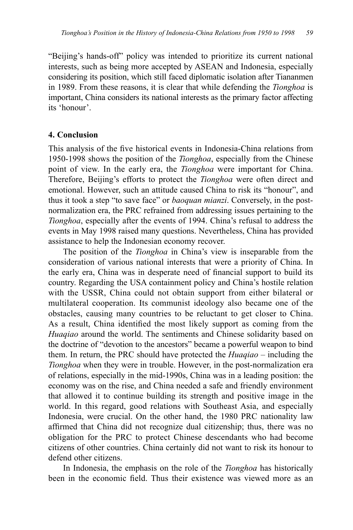"Beijing's hands-off" policy was intended to prioritize its current national interests, such as being more accepted by ASEAN and Indonesia, especially considering its position, which still faced diplomatic isolation after Tiananmen in 1989. From these reasons, it is clear that while defending the *Tionghoa* is important, China considers its national interests as the primary factor affecting its 'honour'.

#### **4. Conclusion**

This analysis of the five historical events in Indonesia-China relations from 1950-1998 shows the position of the *Tionghoa*, especially from the Chinese point of view. In the early era, the *Tionghoa* were important for China. Therefore, Beijing's efforts to protect the *Tionghoa* were often direct and emotional. However, such an attitude caused China to risk its "honour", and thus it took a step "to save face" or *baoquan mianzi*. Conversely, in the postnormalization era, the PRC refrained from addressing issues pertaining to the *Tionghoa*, especially after the events of 1994. China's refusal to address the events in May 1998 raised many questions. Nevertheless, China has provided assistance to help the Indonesian economy recover.

The position of the *Tionghoa* in China's view is inseparable from the consideration of various national interests that were a priority of China. In the early era, China was in desperate need of financial support to build its country. Regarding the USA containment policy and China's hostile relation with the USSR, China could not obtain support from either bilateral or multilateral cooperation. Its communist ideology also became one of the obstacles, causing many countries to be reluctant to get closer to China. As a result, China identified the most likely support as coming from the *Huaqiao* around the world. The sentiments and Chinese solidarity based on the doctrine of "devotion to the ancestors" became a powerful weapon to bind them. In return, the PRC should have protected the *Huaqiao* – including the *Tionghoa* when they were in trouble. However, in the post-normalization era of relations, especially in the mid-1990s, China was in a leading position: the economy was on the rise, and China needed a safe and friendly environment that allowed it to continue building its strength and positive image in the world. In this regard, good relations with Southeast Asia, and especially Indonesia, were crucial. On the other hand, the 1980 PRC nationality law affirmed that China did not recognize dual citizenship; thus, there was no obligation for the PRC to protect Chinese descendants who had become citizens of other countries. China certainly did not want to risk its honour to defend other citizens.

In Indonesia, the emphasis on the role of the *Tionghoa* has historically been in the economic field. Thus their existence was viewed more as an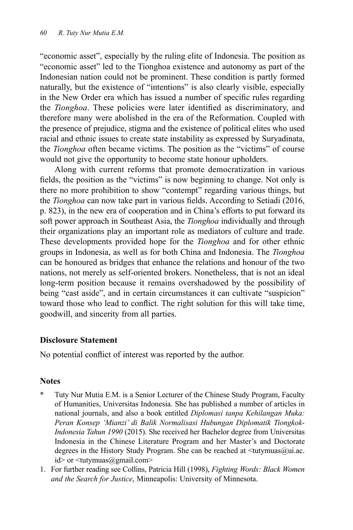"economic asset", especially by the ruling elite of Indonesia. The position as "economic asset" led to the Tionghoa existence and autonomy as part of the Indonesian nation could not be prominent. These condition is partly formed naturally, but the existence of "intentions" is also clearly visible, especially in the New Order era which has issued a number of specific rules regarding the *Tionghoa*. These policies were later identified as discriminatory, and therefore many were abolished in the era of the Reformation. Coupled with the presence of prejudice, stigma and the existence of political elites who used racial and ethnic issues to create state instability as expressed by Suryadinata, the *Tionghoa* often became victims. The position as the "victims" of course would not give the opportunity to become state honour upholders.

Along with current reforms that promote democratization in various fields, the position as the "victims" is now beginning to change. Not only is there no more prohibition to show "contempt" regarding various things, but the *Tionghoa* can now take part in various fields. According to Setiadi (2016, p. 823), in the new era of cooperation and in China's efforts to put forward its soft power approach in Southeast Asia, the *Tionghoa* individually and through their organizations play an important role as mediators of culture and trade. These developments provided hope for the *Tionghoa* and for other ethnic groups in Indonesia, as well as for both China and Indonesia. The *Tionghoa* can be honoured as bridges that enhance the relations and honour of the two nations, not merely as self-oriented brokers. Nonetheless, that is not an ideal long-term position because it remains overshadowed by the possibility of being "cast aside", and in certain circumstances it can cultivate "suspicion" toward those who lead to conflict. The right solution for this will take time, goodwill, and sincerity from all parties.

## **Disclosure Statement**

No potential conflict of interest was reported by the author.

## **Notes**

- Tuty Nur Mutia E.M. is a Senior Lecturer of the Chinese Study Program, Faculty of Humanities, Universitas Indonesia. She has published a number of articles in national journals, and also a book entitled *Diplomasi tanpa Kehilangan Muka: Peran Konsep 'Mianzi' di Balik Normalisasi Hubungan Diplomatik Tiongkok-Indonesia Tahun 1990* (2015). She received her Bachelor degree from Universitas Indonesia in the Chinese Literature Program and her Master's and Doctorate degrees in the History Study Program. She can be reached at  $\leq$ tutymuas $\omega$ ui.ac. id> or <tutymuas@gmail.com>
- 1. For further reading see Collins, Patricia Hill (1998), *Fighting Words: Black Women and the Search for Justice*, Minneapolis: University of Minnesota.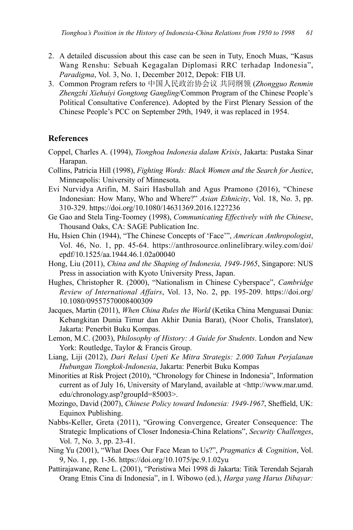- 2. A detailed discussion about this case can be seen in Tuty, Enoch Muas, "Kasus Wang Renshu: Sebuah Kegagalan Diplomasi RRC terhadap Indonesia", *Paradigma*, Vol. 3, No. 1, December 2012, Depok: FIB UI.
- 3. Common Program refers to 中国人民政治协会议 共同纲领 (*Zhongguo Renmin Zhengzhi Xiehuiyi Gongtong Gangling*/Common Program of the Chinese People's Political Consultative Conference). Adopted by the First Plenary Session of the Chinese People's PCC on September 29th, 1949, it was replaced in 1954.

#### **References**

- Coppel, Charles A. (1994), *Tionghoa Indonesia dalam Krisis*, Jakarta: Pustaka Sinar Harapan.
- Collins, Patricia Hill (1998), *Fighting Words: Black Women and the Search for Justice*, Minneapolis: University of Minnesota.
- Evi Nurvidya Arifin, M. Sairi Hasbullah and Agus Pramono (2016), "Chinese Indonesian: How Many, Who and Where?" *Asian Ethnicity*, Vol. 18, No. 3, pp. 310-329. https://doi.org/10.1080/14631369.2016.1227236
- Ge Gao and Stela Ting-Toomey (1998), *Communicating Effectively with the Chinese*, Thousand Oaks, CA: SAGE Publication Inc.
- Hu, Hsien Chin (1944), "The Chinese Concepts of 'Face'", *American Anthropologist*, Vol. 46, No. 1, pp. 45-64. https://anthrosource.onlinelibrary.wiley.com/doi/ epdf/10.1525/aa.1944.46.1.02a00040
- Hong, Liu (2011), *China and the Shaping of Indonesia, 1949-1965*, Singapore: NUS Press in association with Kyoto University Press, Japan.
- Hughes, Christopher R. (2000), "Nationalism in Chinese Cyberspace", *Cambridge Review of International Affairs*, Vol. 13, No. 2, pp. 195-209. https://doi.org/ 10.1080/09557570008400309
- Jacques, Martin (2011), *When China Rules the World* (Ketika China Menguasai Dunia: Kebangkitan Dunia Timur dan Akhir Dunia Barat), (Noor Cholis, Translator), Jakarta: Penerbit Buku Kompas.
- Lemon, M.C. (2003), P*hilosophy of History: A Guide for Students*. London and New York: Routledge, Taylor & Francis Group.
- Liang, Liji (2012), *Dari Relasi Upeti Ke Mitra Strategis: 2.000 Tahun Perjalanan Hubungan Tiongkok-Indonesia*, Jakarta: Penerbit Buku Kompas
- Minorities at Risk Project (2010), "Chronology for Chinese in Indonesia", Information current as of July 16, University of Maryland, available at <http://www.mar.umd. edu/chronology.asp?groupId=85003>.
- Mozingo, David (2007), *Chinese Policy toward Indonesia: 1949-1967*, Sheffield, UK: Equinox Publishing.
- Nabbs-Keller, Greta (2011), "Growing Convergence, Greater Consequence: The Strategic Implications of Closer Indonesia-China Relations", *Security Challenges*, Vol. 7, No. 3, pp. 23-41.
- Ning Yu (2001), "What Does Our Face Mean to Us?", *Pragmatics & Cognition*, Vol. 9, No. 1, pp. 1-36. https://doi.org/10.1075/pc.9.1.02yu
- Pattirajawane, Rene L. (2001), "Peristiwa Mei 1998 di Jakarta: Titik Terendah Sejarah Orang Etnis Cina di Indonesia", in I. Wibowo (ed.), *Harga yang Harus Dibayar:*